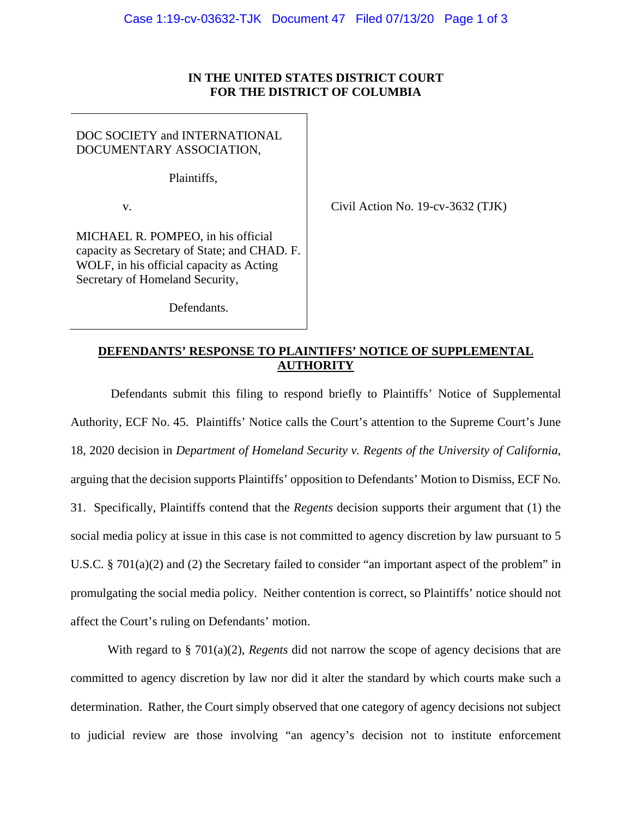## **IN THE UNITED STATES DISTRICT COURT FOR THE DISTRICT OF COLUMBIA**

DOC SOCIETY and INTERNATIONAL DOCUMENTARY ASSOCIATION,

Plaintiffs,

v. Civil Action No. 19-cv-3632 (TJK)

MICHAEL R. POMPEO, in his official capacity as Secretary of State; and CHAD. F. WOLF, in his official capacity as Acting Secretary of Homeland Security,

Defendants.

## **DEFENDANTS' RESPONSE TO PLAINTIFFS' NOTICE OF SUPPLEMENTAL AUTHORITY**

 Defendants submit this filing to respond briefly to Plaintiffs' Notice of Supplemental Authority, ECF No. 45. Plaintiffs' Notice calls the Court's attention to the Supreme Court's June 18, 2020 decision in *Department of Homeland Security v. Regents of the University of California*, arguing that the decision supports Plaintiffs' opposition to Defendants' Motion to Dismiss, ECF No. 31. Specifically, Plaintiffs contend that the *Regents* decision supports their argument that (1) the social media policy at issue in this case is not committed to agency discretion by law pursuant to 5 U.S.C. § 701(a)(2) and (2) the Secretary failed to consider "an important aspect of the problem" in promulgating the social media policy. Neither contention is correct, so Plaintiffs' notice should not affect the Court's ruling on Defendants' motion.

 With regard to § 701(a)(2), *Regents* did not narrow the scope of agency decisions that are committed to agency discretion by law nor did it alter the standard by which courts make such a determination. Rather, the Court simply observed that one category of agency decisions not subject to judicial review are those involving "an agency's decision not to institute enforcement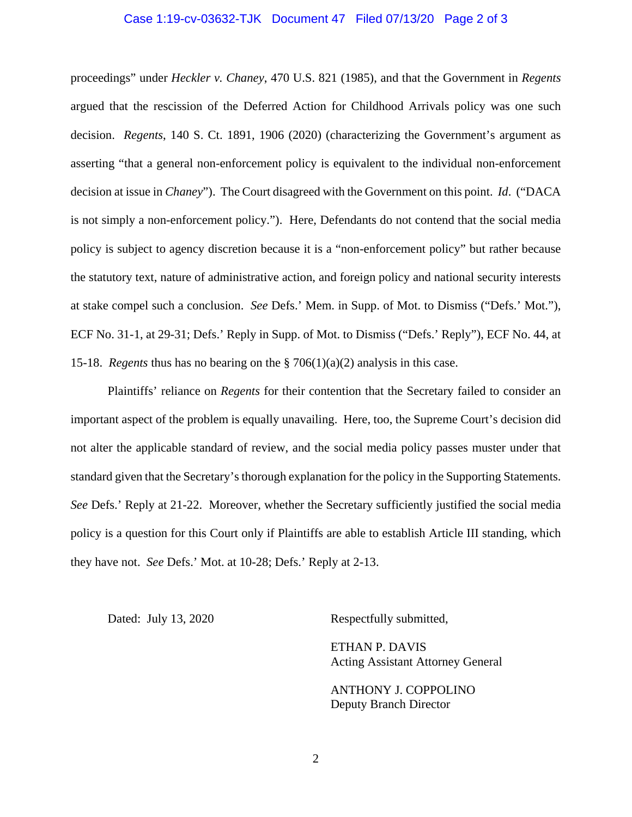## Case 1:19-cv-03632-TJK Document 47 Filed 07/13/20 Page 2 of 3

proceedings" under *Heckler v. Chaney*, 470 U.S. 821 (1985), and that the Government in *Regents* argued that the rescission of the Deferred Action for Childhood Arrivals policy was one such decision. *Regents*, 140 S. Ct. 1891, 1906 (2020) (characterizing the Government's argument as asserting "that a general non-enforcement policy is equivalent to the individual non-enforcement decision at issue in *Chaney*"). The Court disagreed with the Government on this point. *Id*. ("DACA is not simply a non-enforcement policy."). Here, Defendants do not contend that the social media policy is subject to agency discretion because it is a "non-enforcement policy" but rather because the statutory text, nature of administrative action, and foreign policy and national security interests at stake compel such a conclusion. *See* Defs.' Mem. in Supp. of Mot. to Dismiss ("Defs.' Mot."), ECF No. 31-1, at 29-31; Defs.' Reply in Supp. of Mot. to Dismiss ("Defs.' Reply"), ECF No. 44, at 15-18. *Regents* thus has no bearing on the § 706(1)(a)(2) analysis in this case.

 Plaintiffs' reliance on *Regents* for their contention that the Secretary failed to consider an important aspect of the problem is equally unavailing. Here, too, the Supreme Court's decision did not alter the applicable standard of review, and the social media policy passes muster under that standard given that the Secretary's thorough explanation for the policy in the Supporting Statements. *See* Defs.' Reply at 21-22. Moreover, whether the Secretary sufficiently justified the social media policy is a question for this Court only if Plaintiffs are able to establish Article III standing, which they have not. *See* Defs.' Mot. at 10-28; Defs.' Reply at 2-13.

Dated: July 13, 2020 Respectfully submitted,

 ETHAN P. DAVIS Acting Assistant Attorney General

 ANTHONY J. COPPOLINO Deputy Branch Director